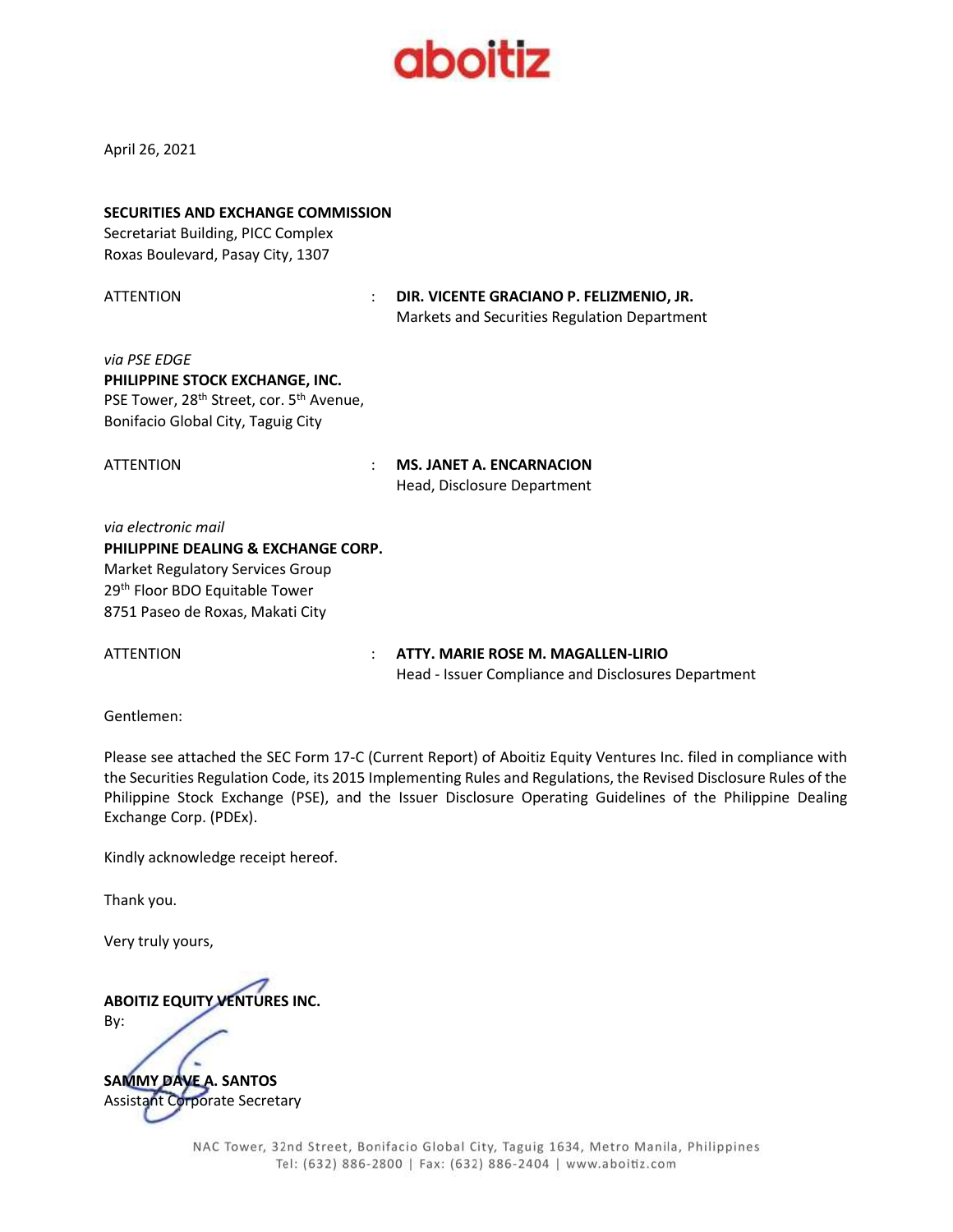

April 26, 2021

| <b>SECURITIES AND EXCHANGE COMMISSION</b><br>Secretariat Building, PICC Complex<br>Roxas Boulevard, Pasay City, 1307                                                                    |                                                                                          |
|-----------------------------------------------------------------------------------------------------------------------------------------------------------------------------------------|------------------------------------------------------------------------------------------|
| ATTENTION<br>÷                                                                                                                                                                          | DIR. VICENTE GRACIANO P. FELIZMENIO, JR.<br>Markets and Securities Regulation Department |
| via PSE EDGE<br>PHILIPPINE STOCK EXCHANGE, INC.<br>PSE Tower, 28 <sup>th</sup> Street, cor. 5 <sup>th</sup> Avenue,<br>Bonifacio Global City, Taguig City                               |                                                                                          |
| ATTENTION                                                                                                                                                                               | <b>MS. JANET A. ENCARNACION</b><br>Head, Disclosure Department                           |
| via electronic mail<br>PHILIPPINE DEALING & EXCHANGE CORP.<br><b>Market Regulatory Services Group</b><br>29 <sup>th</sup> Floor BDO Equitable Tower<br>8751 Paseo de Roxas, Makati City |                                                                                          |

ATTENTION : **ATTY. MARIE ROSE M. MAGALLEN-LIRIO** Head - Issuer Compliance and Disclosures Department

Gentlemen:

Please see attached the SEC Form 17-C (Current Report) of Aboitiz Equity Ventures Inc. filed in compliance with the Securities Regulation Code, its 2015 Implementing Rules and Regulations, the Revised Disclosure Rules of the Philippine Stock Exchange (PSE), and the Issuer Disclosure Operating Guidelines of the Philippine Dealing Exchange Corp. (PDEx).

Kindly acknowledge receipt hereof.

Thank you.

Very truly yours,

**ABOITIZ EQUITY VENTURES INC.** By: **SAMMY DAVE A. SANTOS** Assistant Corporate Secretary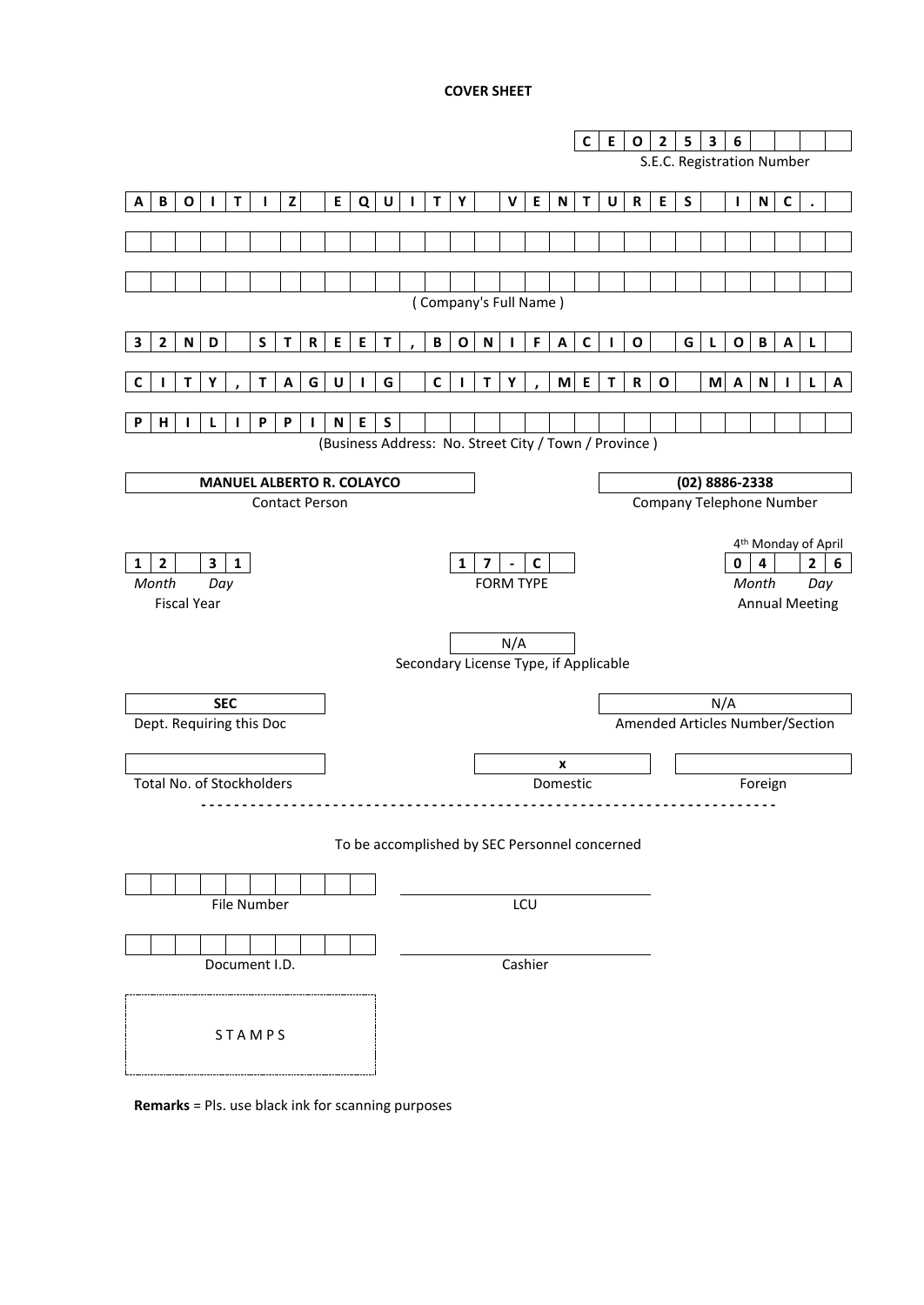### **COVER SHEET**

|                                                                      |                                       | $\mathsf E$<br>C<br>$\mathbf{o}$                         | 3<br>$\mathbf{2}$<br>5<br>6                                      |  |  |  |
|----------------------------------------------------------------------|---------------------------------------|----------------------------------------------------------|------------------------------------------------------------------|--|--|--|
|                                                                      |                                       |                                                          | S.E.C. Registration Number                                       |  |  |  |
|                                                                      |                                       |                                                          |                                                                  |  |  |  |
| $\, {\bf B} \,$<br>$\mathbf{z}$<br>O<br>I.<br>T<br>Α<br>$\mathbf{I}$ | E<br>Q<br>U<br>T<br>Y<br>I.           | E<br>$\mathsf{V}$<br>N<br>T<br>U<br>$\mathbf R$          | E<br>$\mathsf{C}$<br>S<br>${\sf N}$<br>$\mathbf{I}$              |  |  |  |
|                                                                      |                                       |                                                          |                                                                  |  |  |  |
|                                                                      |                                       |                                                          |                                                                  |  |  |  |
|                                                                      |                                       |                                                          |                                                                  |  |  |  |
|                                                                      |                                       | (Company's Full Name)                                    |                                                                  |  |  |  |
|                                                                      |                                       |                                                          |                                                                  |  |  |  |
| S<br>$\mathbf{2}$<br>${\bf R}$<br>N<br>D<br>т<br>3                   | $\sf E$<br>$\mathsf E$<br>В<br>т<br>O | F<br>$\mathsf{C}$<br>N<br>O<br>А<br>L                    | G<br>O<br>B<br>A<br>L                                            |  |  |  |
|                                                                      |                                       |                                                          |                                                                  |  |  |  |
| Τ<br>G<br>Υ<br>Α<br>т<br>С                                           | U<br>G<br>C                           | M<br>E<br>$\mathbf R$<br>Т<br>Υ<br>Т                     | M<br>${\sf N}$<br>0<br>A<br>A<br>L                               |  |  |  |
| P<br>н<br>P<br>P<br>L<br>L                                           | $\boldsymbol{\mathsf{N}}$<br>E<br>S   |                                                          |                                                                  |  |  |  |
|                                                                      |                                       | (Business Address: No. Street City / Town / Province)    |                                                                  |  |  |  |
|                                                                      |                                       |                                                          |                                                                  |  |  |  |
| <b>MANUEL ALBERTO R. COLAYCO</b>                                     |                                       |                                                          | (02) 8886-2338                                                   |  |  |  |
| <b>Contact Person</b>                                                |                                       |                                                          | Company Telephone Number                                         |  |  |  |
|                                                                      |                                       |                                                          |                                                                  |  |  |  |
| $\mathbf{2}$<br>$\mathbf{3}$<br>$\mathbf{1}$                         | 1                                     | $\overline{\mathbf{z}}$<br>$\mathbf c$<br>$\blacksquare$ | 4 <sup>th</sup> Monday of April<br>$\overline{2}$<br>6<br>0<br>4 |  |  |  |
| $\mathbf{1}$<br>Month<br>Day                                         |                                       | <b>FORM TYPE</b>                                         | Month<br>Day                                                     |  |  |  |
| <b>Fiscal Year</b>                                                   |                                       |                                                          | <b>Annual Meeting</b>                                            |  |  |  |
|                                                                      |                                       |                                                          |                                                                  |  |  |  |
|                                                                      |                                       | N/A                                                      |                                                                  |  |  |  |
|                                                                      |                                       | Secondary License Type, if Applicable                    |                                                                  |  |  |  |
|                                                                      |                                       |                                                          |                                                                  |  |  |  |
| <b>SEC</b>                                                           |                                       |                                                          | N/A                                                              |  |  |  |
| Dept. Requiring this Doc                                             |                                       |                                                          | Amended Articles Number/Section                                  |  |  |  |
|                                                                      |                                       | x                                                        |                                                                  |  |  |  |
| Total No. of Stockholders                                            |                                       | Domestic                                                 | Foreign                                                          |  |  |  |
|                                                                      |                                       |                                                          |                                                                  |  |  |  |
|                                                                      |                                       |                                                          |                                                                  |  |  |  |
|                                                                      |                                       | To be accomplished by SEC Personnel concerned            |                                                                  |  |  |  |
|                                                                      |                                       |                                                          |                                                                  |  |  |  |
| File Number                                                          |                                       | LCU                                                      |                                                                  |  |  |  |
|                                                                      |                                       |                                                          |                                                                  |  |  |  |
|                                                                      |                                       |                                                          |                                                                  |  |  |  |
| Document I.D.                                                        |                                       | Cashier                                                  |                                                                  |  |  |  |
|                                                                      |                                       |                                                          |                                                                  |  |  |  |
|                                                                      |                                       |                                                          |                                                                  |  |  |  |
| STAMPS                                                               |                                       |                                                          |                                                                  |  |  |  |
|                                                                      |                                       |                                                          |                                                                  |  |  |  |
|                                                                      |                                       |                                                          |                                                                  |  |  |  |

**Remarks** = Pls. use black ink for scanning purposes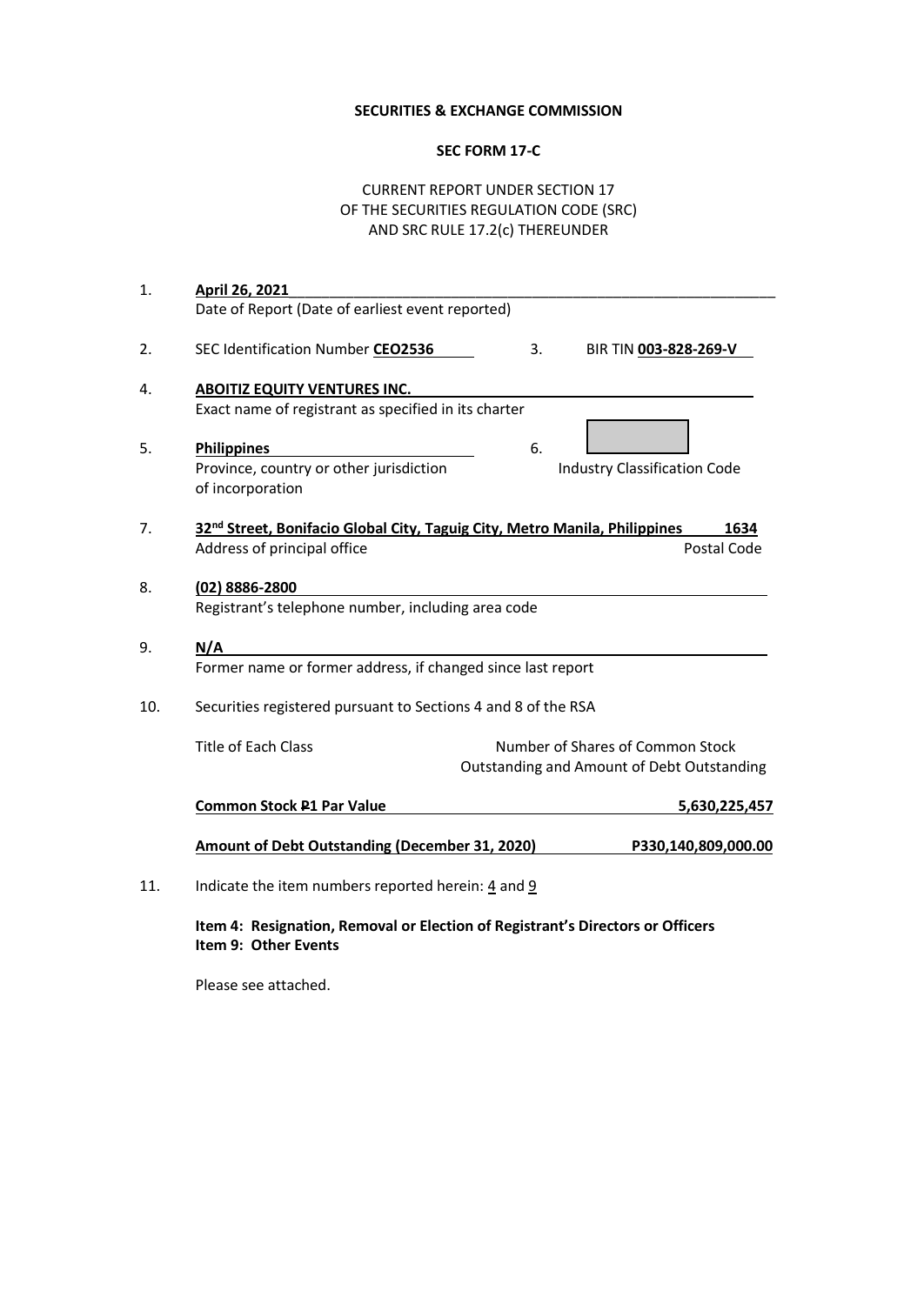## **SECURITIES & EXCHANGE COMMISSION**

# **SEC FORM 17-C**

# CURRENT REPORT UNDER SECTION 17 OF THE SECURITIES REGULATION CODE (SRC) AND SRC RULE 17.2(c) THEREUNDER

| April 26, 2021                                                                                 |  |  |  |  |  |  |
|------------------------------------------------------------------------------------------------|--|--|--|--|--|--|
| Date of Report (Date of earliest event reported)                                               |  |  |  |  |  |  |
| SEC Identification Number CEO2536<br>3.<br>BIR TIN 003-828-269-V                               |  |  |  |  |  |  |
| <b>ABOITIZ EQUITY VENTURES INC.</b>                                                            |  |  |  |  |  |  |
| Exact name of registrant as specified in its charter                                           |  |  |  |  |  |  |
| 6.<br><b>Philippines</b>                                                                       |  |  |  |  |  |  |
| Province, country or other jurisdiction<br><b>Industry Classification Code</b>                 |  |  |  |  |  |  |
| of incorporation                                                                               |  |  |  |  |  |  |
| 32 <sup>nd</sup> Street, Bonifacio Global City, Taguig City, Metro Manila, Philippines<br>1634 |  |  |  |  |  |  |
| Address of principal office<br>Postal Code                                                     |  |  |  |  |  |  |
| (02) 8886-2800                                                                                 |  |  |  |  |  |  |
| Registrant's telephone number, including area code                                             |  |  |  |  |  |  |
| N/A                                                                                            |  |  |  |  |  |  |
| Former name or former address, if changed since last report                                    |  |  |  |  |  |  |
| Securities registered pursuant to Sections 4 and 8 of the RSA                                  |  |  |  |  |  |  |
| <b>Title of Each Class</b><br>Number of Shares of Common Stock                                 |  |  |  |  |  |  |
| Outstanding and Amount of Debt Outstanding                                                     |  |  |  |  |  |  |
| <b>Common Stock P1 Par Value</b><br>5,630,225,457                                              |  |  |  |  |  |  |
| <b>Amount of Debt Outstanding (December 31, 2020)</b><br>P330,140,809,000.00                   |  |  |  |  |  |  |
| Indicate the item numbers reported herein: $\frac{4}{3}$ and $\frac{9}{3}$                     |  |  |  |  |  |  |
| Item 4: Resignation, Removal or Election of Registrant's Directors or Officers                 |  |  |  |  |  |  |
|                                                                                                |  |  |  |  |  |  |

**Item 9: Other Events**

Please see attached.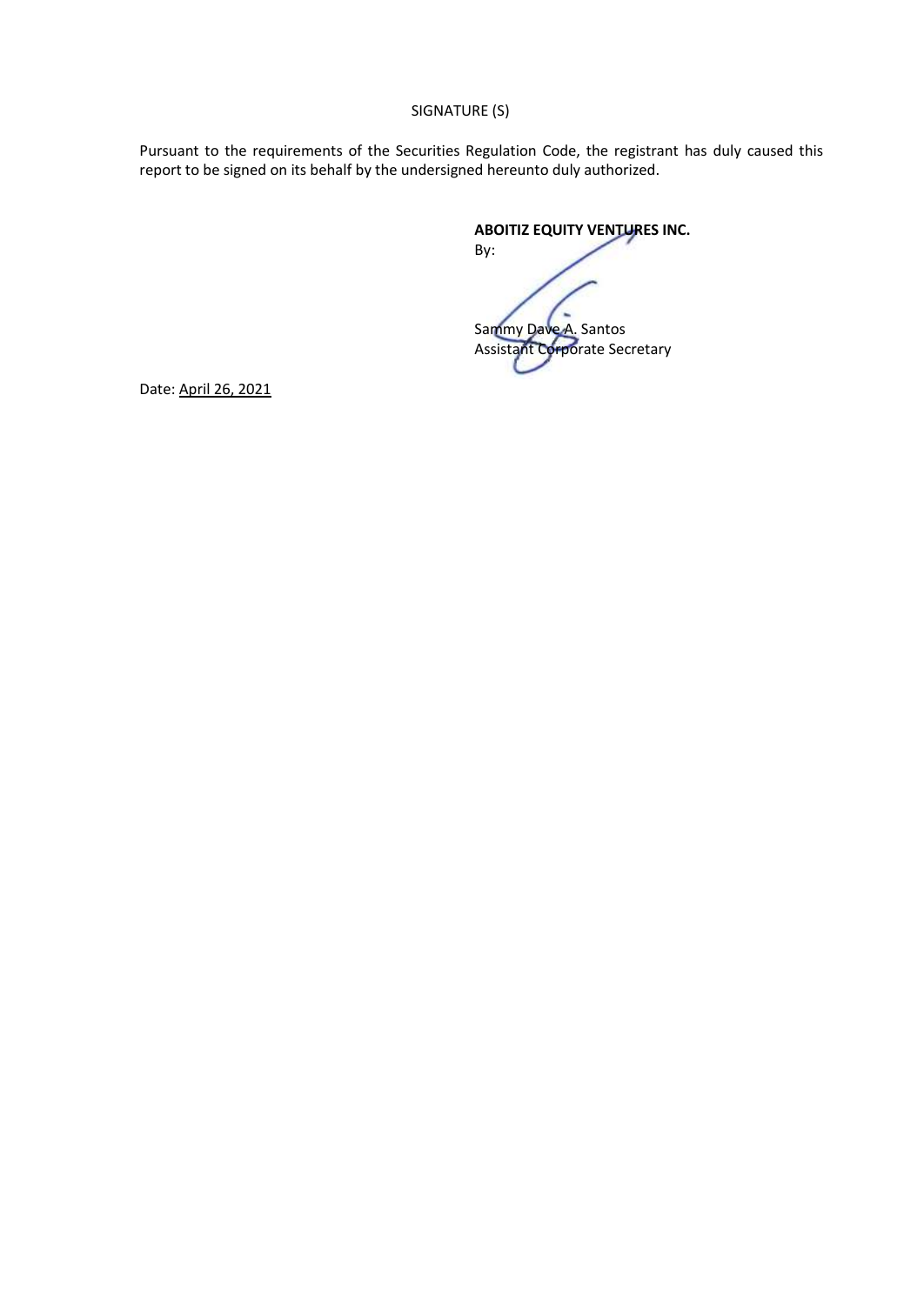SIGNATURE (S)

Pursuant to the requirements of the Securities Regulation Code, the registrant has duly caused this report to be signed on its behalf by the undersigned hereunto duly authorized.

By:

**ABOITIZ EQUITY VENTURES INC.**

Sammy Dave A. Santos Assistant Corporate Secretary

Date: April 26, 2021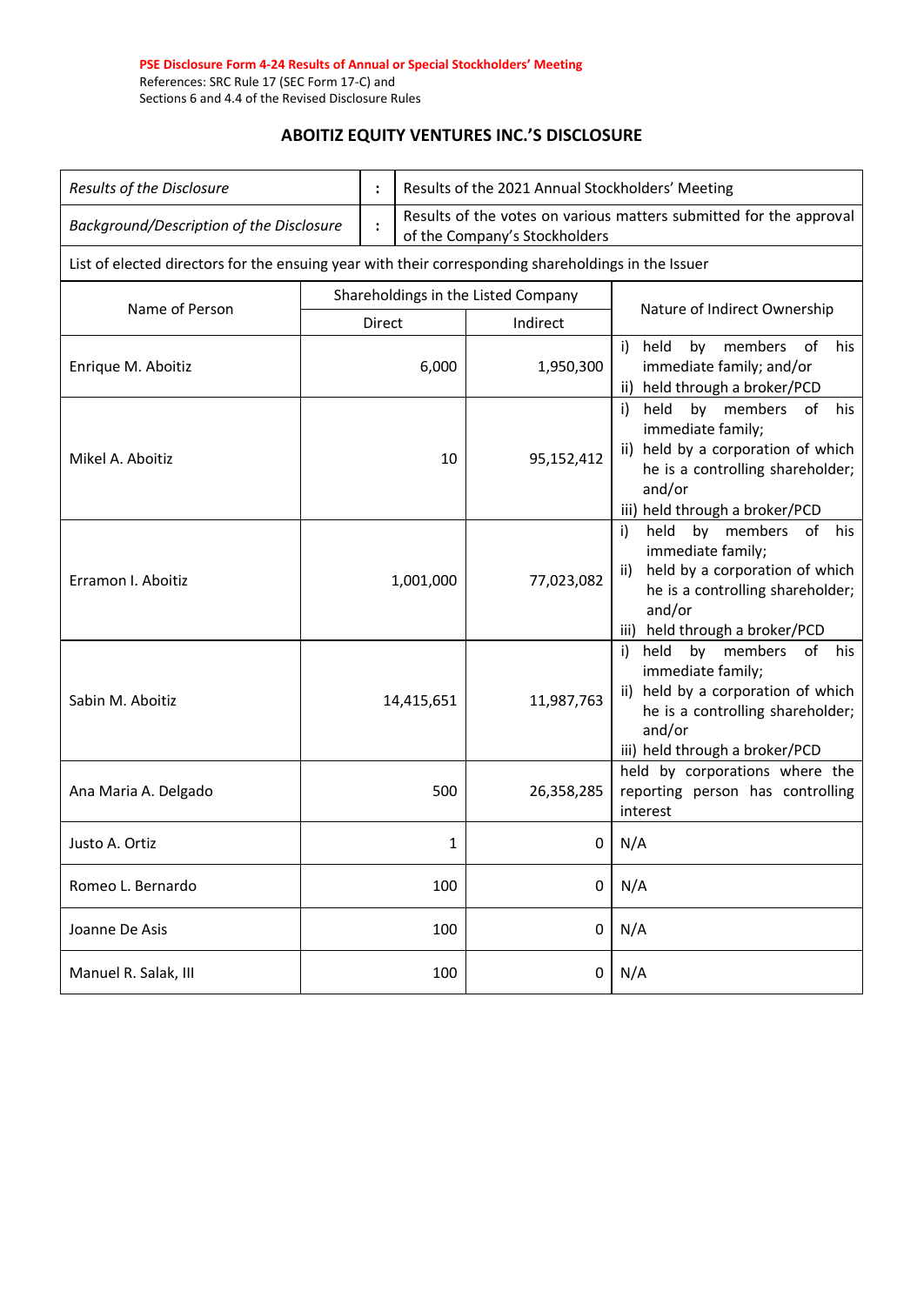#### **PSE Disclosure Form 4-24 Results of Annual or Special Stockholders' Meeting**  References: SRC Rule 17 (SEC Form 17-C) and Sections 6 and 4.4 of the Revised Disclosure Rules

# **ABOITIZ EQUITY VENTURES INC.'S DISCLOSURE**

| Results of the Disclosure                                                                           |           |                                     | Results of the 2021 Annual Stockholders' Meeting                                                    |            |                                                                                                                                                                                            |  |  |
|-----------------------------------------------------------------------------------------------------|-----------|-------------------------------------|-----------------------------------------------------------------------------------------------------|------------|--------------------------------------------------------------------------------------------------------------------------------------------------------------------------------------------|--|--|
| Background/Description of the Disclosure                                                            |           |                                     | Results of the votes on various matters submitted for the approval<br>of the Company's Stockholders |            |                                                                                                                                                                                            |  |  |
| List of elected directors for the ensuing year with their corresponding shareholdings in the Issuer |           |                                     |                                                                                                     |            |                                                                                                                                                                                            |  |  |
| Name of Person                                                                                      |           | Shareholdings in the Listed Company |                                                                                                     |            | Nature of Indirect Ownership                                                                                                                                                               |  |  |
|                                                                                                     | Direct    |                                     |                                                                                                     | Indirect   |                                                                                                                                                                                            |  |  |
| Enrique M. Aboitiz                                                                                  | 6,000     |                                     |                                                                                                     | 1,950,300  | of<br>held<br>members<br>his<br>by<br>i)<br>immediate family; and/or<br>ii) held through a broker/PCD                                                                                      |  |  |
| Mikel A. Aboitiz                                                                                    | 10        |                                     |                                                                                                     | 95,152,412 | $\mathsf{i}$<br>by members<br>held<br>of<br>his<br>immediate family;<br>ii) held by a corporation of which<br>he is a controlling shareholder;<br>and/or<br>iii) held through a broker/PCD |  |  |
| Erramon I. Aboitiz                                                                                  | 1,001,000 |                                     |                                                                                                     | 77,023,082 | held by members<br>of<br>i)<br>his<br>immediate family;<br>held by a corporation of which<br>ii)<br>he is a controlling shareholder;<br>and/or<br>iii) held through a broker/PCD           |  |  |
| Sabin M. Aboitiz                                                                                    |           |                                     | 14,415,651                                                                                          | 11,987,763 | held<br>by<br>members<br>of his<br>i)<br>immediate family;<br>ii) held by a corporation of which<br>he is a controlling shareholder;<br>and/or<br>iii) held through a broker/PCD           |  |  |
| Ana Maria A. Delgado                                                                                |           |                                     | 500                                                                                                 | 26,358,285 | held by corporations where the<br>reporting person has controlling<br>interest                                                                                                             |  |  |
| Justo A. Ortiz                                                                                      |           |                                     | 1                                                                                                   | 0          | N/A                                                                                                                                                                                        |  |  |
| Romeo L. Bernardo                                                                                   |           |                                     | 100                                                                                                 | 0          | N/A                                                                                                                                                                                        |  |  |
| Joanne De Asis                                                                                      |           |                                     | 100                                                                                                 | 0          | N/A                                                                                                                                                                                        |  |  |
| Manuel R. Salak, III                                                                                |           |                                     | N/A<br>100<br>0                                                                                     |            |                                                                                                                                                                                            |  |  |